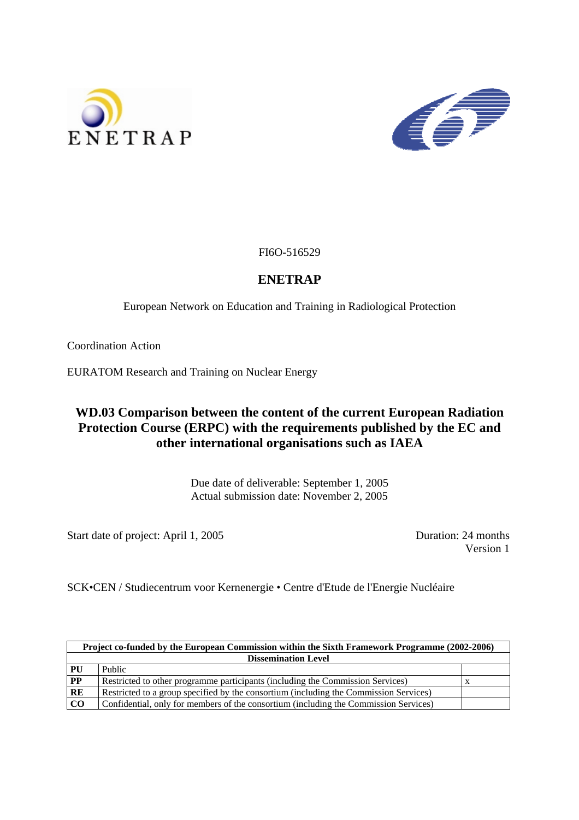



FI6O-516529

## **ENETRAP**

European Network on Education and Training in Radiological Protection

Coordination Action

EURATOM Research and Training on Nuclear Energy

# **WD.03 Comparison between the content of the current European Radiation Protection Course (ERPC) with the requirements published by the EC and other international organisations such as IAEA**

Due date of deliverable: September 1, 2005 Actual submission date: November 2, 2005

Start date of project: April 1, 2005 Duration: 24 months

Version 1

SCK•CEN / Studiecentrum voor Kernenergie • Centre d'Etude de l'Energie Nucléaire

| Project co-funded by the European Commission within the Sixth Framework Programme (2002-2006) |                                                                                       |  |
|-----------------------------------------------------------------------------------------------|---------------------------------------------------------------------------------------|--|
| <b>Dissemination Level</b>                                                                    |                                                                                       |  |
| PU                                                                                            | Public                                                                                |  |
| $\bf PP$                                                                                      | Restricted to other programme participants (including the Commission Services)        |  |
| RE                                                                                            | Restricted to a group specified by the consortium (including the Commission Services) |  |
| CO                                                                                            | Confidential, only for members of the consortium (including the Commission Services)  |  |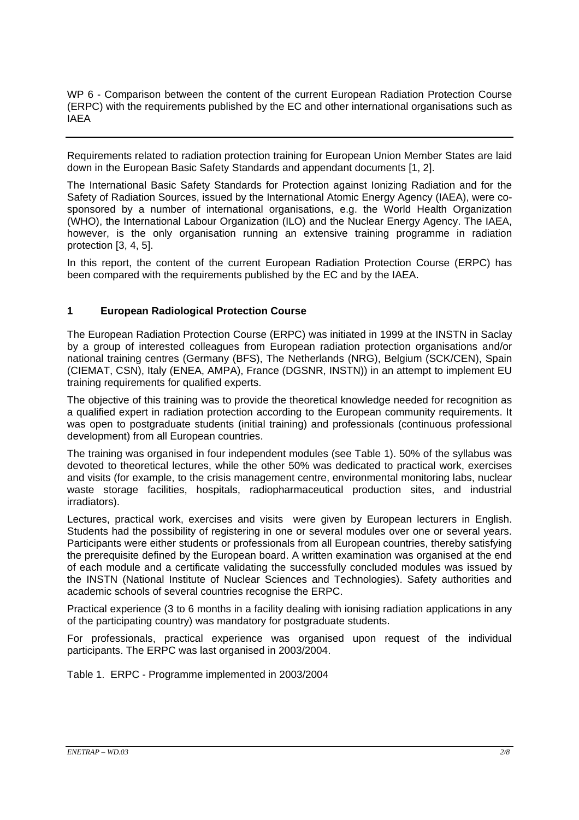WP 6 - Comparison between the content of the current European Radiation Protection Course (ERPC) with the requirements published by the EC and other international organisations such as **IAEA** 

Requirements related to radiation protection training for European Union Member States are laid down in the European Basic Safety Standards and appendant documents [1, 2].

The International Basic Safety Standards for Protection against Ionizing Radiation and for the Safety of Radiation Sources, issued by the International Atomic Energy Agency (IAEA), were cosponsored by a number of international organisations, e.g. the World Health Organization (WHO), the International Labour Organization (ILO) and the Nuclear Energy Agency. The IAEA, however, is the only organisation running an extensive training programme in radiation protection [3, 4, 5].

In this report, the content of the current European Radiation Protection Course (ERPC) has been compared with the requirements published by the EC and by the IAEA.

### **1 European Radiological Protection Course**

The European Radiation Protection Course (ERPC) was initiated in 1999 at the INSTN in Saclay by a group of interested colleagues from European radiation protection organisations and/or national training centres (Germany (BFS), The Netherlands (NRG), Belgium (SCK/CEN), Spain (CIEMAT, CSN), Italy (ENEA, AMPA), France (DGSNR, INSTN)) in an attempt to implement EU training requirements for qualified experts.

The objective of this training was to provide the theoretical knowledge needed for recognition as a qualified expert in radiation protection according to the European community requirements. It was open to postgraduate students (initial training) and professionals (continuous professional development) from all European countries.

The training was organised in four independent modules (see Table 1). 50% of the syllabus was devoted to theoretical lectures, while the other 50% was dedicated to practical work, exercises and visits (for example, to the crisis management centre, environmental monitoring labs, nuclear waste storage facilities, hospitals, radiopharmaceutical production sites, and industrial irradiators).

Lectures, practical work, exercises and visits were given by European lecturers in English. Students had the possibility of registering in one or several modules over one or several years. Participants were either students or professionals from all European countries, thereby satisfying the prerequisite defined by the European board. A written examination was organised at the end of each module and a certificate validating the successfully concluded modules was issued by the INSTN (National Institute of Nuclear Sciences and Technologies). Safety authorities and academic schools of several countries recognise the ERPC.

Practical experience (3 to 6 months in a facility dealing with ionising radiation applications in any of the participating country) was mandatory for postgraduate students.

For professionals, practical experience was organised upon request of the individual participants. The ERPC was last organised in 2003/2004.

Table 1. ERPC - Programme implemented in 2003/2004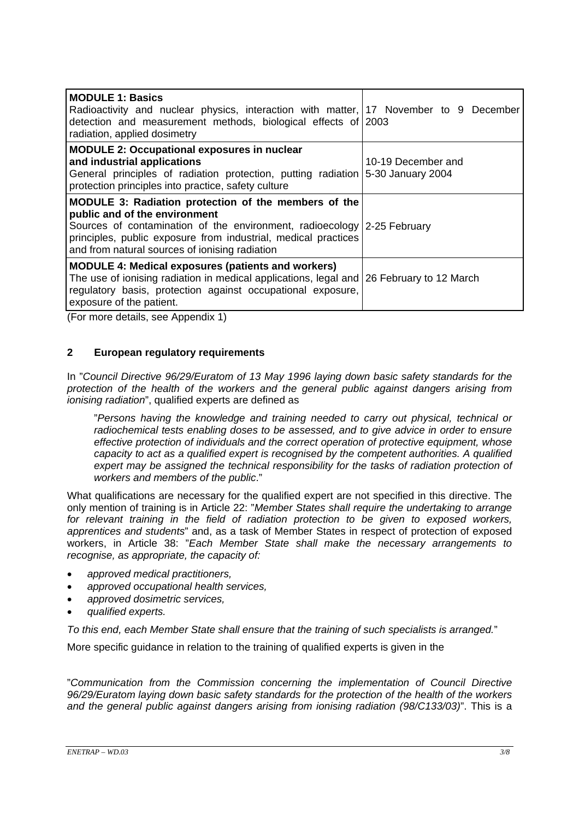| <b>MODULE 1: Basics</b><br>Radioactivity and nuclear physics, interaction with matter, 17 November to 9 December<br>detection and measurement methods, biological effects of 2003<br>radiation, applied dosimetry                                                                    |                                         |
|--------------------------------------------------------------------------------------------------------------------------------------------------------------------------------------------------------------------------------------------------------------------------------------|-----------------------------------------|
| <b>MODULE 2: Occupational exposures in nuclear</b><br>and industrial applications<br>General principles of radiation protection, putting radiation<br>protection principles into practice, safety culture                                                                            | 10-19 December and<br>5-30 January 2004 |
| MODULE 3: Radiation protection of the members of the<br>public and of the environment<br>Sources of contamination of the environment, radioecology 2-25 February<br>principles, public exposure from industrial, medical practices<br>and from natural sources of ionising radiation |                                         |
| <b>MODULE 4: Medical exposures (patients and workers)</b><br>The use of ionising radiation in medical applications, legal and<br>regulatory basis, protection against occupational exposure,<br>exposure of the patient.                                                             | 26 February to 12 March                 |

(For more details, see Appendix 1)

### **2 European regulatory requirements**

In "*Council Directive 96/29/Euratom of 13 May 1996 laying down basic safety standards for the protection of the health of the workers and the general public against dangers arising from ionising radiation*", qualified experts are defined as

"*Persons having the knowledge and training needed to carry out physical, technical or radiochemical tests enabling doses to be assessed, and to give advice in order to ensure effective protection of individuals and the correct operation of protective equipment, whose capacity to act as a qualified expert is recognised by the competent authorities. A qualified*  expert may be assigned the technical responsibility for the tasks of radiation protection of *workers and members of the public*."

What qualifications are necessary for the qualified expert are not specified in this directive. The only mention of training is in Article 22: "*Member States shall require the undertaking to arrange for relevant training in the field of radiation protection to be given to exposed workers, apprentices and students*" and, as a task of Member States in respect of protection of exposed workers, in Article 38: "*Each Member State shall make the necessary arrangements to recognise, as appropriate, the capacity of:* 

- *approved medical practitioners,*
- *approved occupational health services,*
- *approved dosimetric services,*
- *qualified experts.*

*To this end, each Member State shall ensure that the training of such specialists is arranged.*"

More specific guidance in relation to the training of qualified experts is given in the

"*Communication from the Commission concerning the implementation of Council Directive 96/29/Euratom laying down basic safety standards for the protection of the health of the workers and the general public against dangers arising from ionising radiation (98/C133/03)*". This is a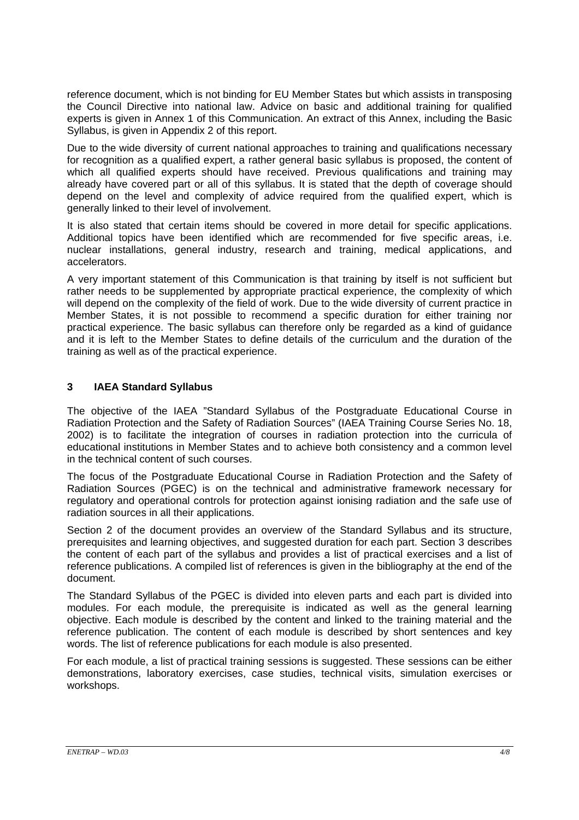reference document, which is not binding for EU Member States but which assists in transposing the Council Directive into national law. Advice on basic and additional training for qualified experts is given in Annex 1 of this Communication. An extract of this Annex, including the Basic Syllabus, is given in Appendix 2 of this report.

Due to the wide diversity of current national approaches to training and qualifications necessary for recognition as a qualified expert, a rather general basic syllabus is proposed, the content of which all qualified experts should have received. Previous qualifications and training may already have covered part or all of this syllabus. It is stated that the depth of coverage should depend on the level and complexity of advice required from the qualified expert, which is generally linked to their level of involvement.

It is also stated that certain items should be covered in more detail for specific applications. Additional topics have been identified which are recommended for five specific areas, i.e. nuclear installations, general industry, research and training, medical applications, and accelerators.

A very important statement of this Communication is that training by itself is not sufficient but rather needs to be supplemented by appropriate practical experience, the complexity of which will depend on the complexity of the field of work. Due to the wide diversity of current practice in Member States, it is not possible to recommend a specific duration for either training nor practical experience. The basic syllabus can therefore only be regarded as a kind of guidance and it is left to the Member States to define details of the curriculum and the duration of the training as well as of the practical experience.

## **3 IAEA Standard Syllabus**

The objective of the IAEA "Standard Syllabus of the Postgraduate Educational Course in Radiation Protection and the Safety of Radiation Sources" (IAEA Training Course Series No. 18, 2002) is to facilitate the integration of courses in radiation protection into the curricula of educational institutions in Member States and to achieve both consistency and a common level in the technical content of such courses.

The focus of the Postgraduate Educational Course in Radiation Protection and the Safety of Radiation Sources (PGEC) is on the technical and administrative framework necessary for regulatory and operational controls for protection against ionising radiation and the safe use of radiation sources in all their applications.

Section 2 of the document provides an overview of the Standard Syllabus and its structure, prerequisites and learning objectives, and suggested duration for each part. Section 3 describes the content of each part of the syllabus and provides a list of practical exercises and a list of reference publications. A compiled list of references is given in the bibliography at the end of the document.

The Standard Syllabus of the PGEC is divided into eleven parts and each part is divided into modules. For each module, the prerequisite is indicated as well as the general learning objective. Each module is described by the content and linked to the training material and the reference publication. The content of each module is described by short sentences and key words. The list of reference publications for each module is also presented.

For each module, a list of practical training sessions is suggested. These sessions can be either demonstrations, laboratory exercises, case studies, technical visits, simulation exercises or workshops.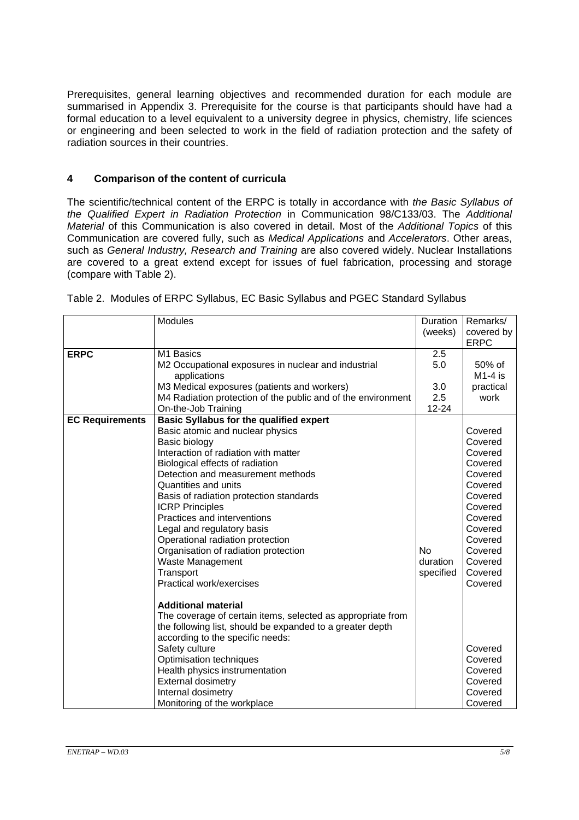Prerequisites, general learning objectives and recommended duration for each module are summarised in Appendix 3. Prerequisite for the course is that participants should have had a formal education to a level equivalent to a university degree in physics, chemistry, life sciences or engineering and been selected to work in the field of radiation protection and the safety of radiation sources in their countries.

### **4 Comparison of the content of curricula**

The scientific/technical content of the ERPC is totally in accordance with *the Basic Syllabus of the Qualified Expert in Radiation Protection* in Communication 98/C133/03. The *Additional Material* of this Communication is also covered in detail. Most of the *Additional Topics* of this Communication are covered fully, such as *Medical Applications* and *Accelerators*. Other areas, such as *General Industry, Research and Training* are also covered widely. Nuclear Installations are covered to a great extend except for issues of fuel fabrication, processing and storage (compare with Table 2).

|                        | <b>Modules</b>                                               | <b>Duration</b> | Remarks/                  |
|------------------------|--------------------------------------------------------------|-----------------|---------------------------|
|                        |                                                              | (weeks)         | covered by<br><b>ERPC</b> |
| <b>ERPC</b>            | M <sub>1</sub> Basics                                        | 2.5             |                           |
|                        | M2 Occupational exposures in nuclear and industrial          | 5.0             | 50% of                    |
|                        | applications                                                 |                 | $M1-4$ is                 |
|                        | M3 Medical exposures (patients and workers)                  | 3.0             | practical                 |
|                        | M4 Radiation protection of the public and of the environment | 2.5             | work                      |
|                        | On-the-Job Training                                          | 12-24           |                           |
| <b>EC Requirements</b> | <b>Basic Syllabus for the qualified expert</b>               |                 |                           |
|                        | Basic atomic and nuclear physics                             |                 | Covered                   |
|                        | Basic biology                                                |                 | Covered                   |
|                        | Interaction of radiation with matter                         |                 | Covered                   |
|                        | Biological effects of radiation                              |                 | Covered                   |
|                        | Detection and measurement methods                            |                 | Covered                   |
|                        | Quantities and units                                         |                 | Covered                   |
|                        | Basis of radiation protection standards                      |                 | Covered                   |
|                        | <b>ICRP Principles</b>                                       |                 | Covered                   |
|                        | Practices and interventions                                  |                 | Covered                   |
|                        | Legal and regulatory basis                                   |                 | Covered                   |
|                        | Operational radiation protection                             |                 | Covered                   |
|                        | Organisation of radiation protection                         | <b>No</b>       | Covered                   |
|                        | Waste Management                                             | duration        | Covered                   |
|                        | Transport                                                    | specified       | Covered                   |
|                        | Practical work/exercises                                     |                 | Covered                   |
|                        | <b>Additional material</b>                                   |                 |                           |
|                        | The coverage of certain items, selected as appropriate from  |                 |                           |
|                        | the following list, should be expanded to a greater depth    |                 |                           |
|                        | according to the specific needs:                             |                 |                           |
|                        | Safety culture                                               |                 | Covered                   |
|                        | Optimisation techniques                                      |                 | Covered                   |
|                        | Health physics instrumentation                               |                 | Covered                   |
|                        | <b>External dosimetry</b>                                    |                 | Covered                   |
|                        | Internal dosimetry                                           |                 | Covered                   |
|                        | Monitoring of the workplace                                  |                 | Covered                   |

Table 2. Modules of ERPC Syllabus, EC Basic Syllabus and PGEC Standard Syllabus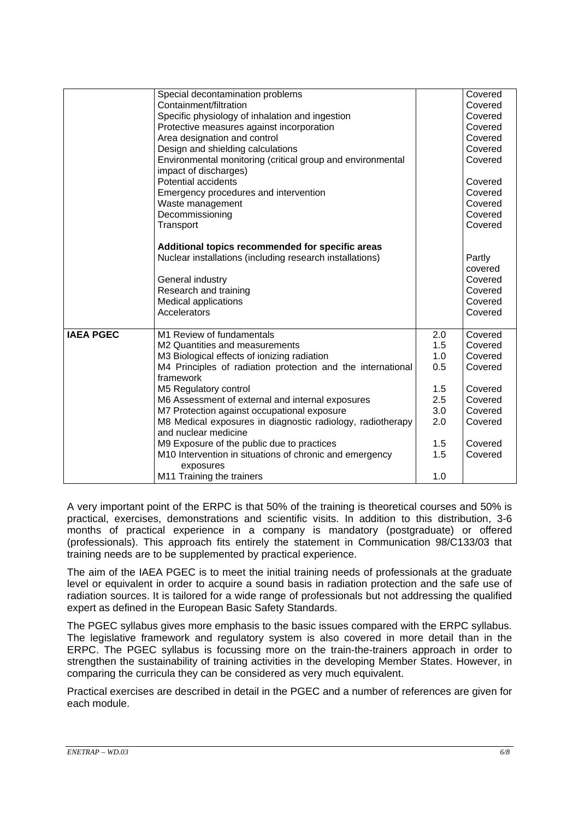|                  | Special decontamination problems<br>Containment/filtration<br>Specific physiology of inhalation and ingestion<br>Protective measures against incorporation<br>Area designation and control<br>Design and shielding calculations<br>Environmental monitoring (critical group and environmental<br>impact of discharges)<br><b>Potential accidents</b>                                                                                                                                                                           |                                                                    | Covered<br>Covered<br>Covered<br>Covered<br>Covered<br>Covered<br>Covered<br>Covered                       |
|------------------|--------------------------------------------------------------------------------------------------------------------------------------------------------------------------------------------------------------------------------------------------------------------------------------------------------------------------------------------------------------------------------------------------------------------------------------------------------------------------------------------------------------------------------|--------------------------------------------------------------------|------------------------------------------------------------------------------------------------------------|
|                  | Emergency procedures and intervention<br>Waste management<br>Decommissioning<br>Transport                                                                                                                                                                                                                                                                                                                                                                                                                                      |                                                                    | Covered<br>Covered<br>Covered<br>Covered                                                                   |
|                  | Additional topics recommended for specific areas<br>Nuclear installations (including research installations)<br>General industry<br>Research and training<br><b>Medical applications</b><br>Accelerators                                                                                                                                                                                                                                                                                                                       |                                                                    | Partly<br>covered<br>Covered<br>Covered<br>Covered<br>Covered                                              |
| <b>IAEA PGEC</b> | M1 Review of fundamentals<br>M2 Quantities and measurements<br>M3 Biological effects of ionizing radiation<br>M4 Principles of radiation protection and the international<br>framework<br>M5 Regulatory control<br>M6 Assessment of external and internal exposures<br>M7 Protection against occupational exposure<br>M8 Medical exposures in diagnostic radiology, radiotherapy<br>and nuclear medicine<br>M9 Exposure of the public due to practices<br>M10 Intervention in situations of chronic and emergency<br>exposures | 2.0<br>1.5<br>1.0<br>0.5<br>1.5<br>2.5<br>3.0<br>2.0<br>1.5<br>1.5 | Covered<br>Covered<br>Covered<br>Covered<br>Covered<br>Covered<br>Covered<br>Covered<br>Covered<br>Covered |
|                  | M11 Training the trainers                                                                                                                                                                                                                                                                                                                                                                                                                                                                                                      | 1.0                                                                |                                                                                                            |

A very important point of the ERPC is that 50% of the training is theoretical courses and 50% is practical, exercises, demonstrations and scientific visits. In addition to this distribution, 3-6 months of practical experience in a company is mandatory (postgraduate) or offered (professionals). This approach fits entirely the statement in Communication 98/C133/03 that training needs are to be supplemented by practical experience.

The aim of the IAEA PGEC is to meet the initial training needs of professionals at the graduate level or equivalent in order to acquire a sound basis in radiation protection and the safe use of radiation sources. It is tailored for a wide range of professionals but not addressing the qualified expert as defined in the European Basic Safety Standards.

The PGEC syllabus gives more emphasis to the basic issues compared with the ERPC syllabus. The legislative framework and regulatory system is also covered in more detail than in the ERPC. The PGEC syllabus is focussing more on the train-the-trainers approach in order to strengthen the sustainability of training activities in the developing Member States. However, in comparing the curricula they can be considered as very much equivalent.

Practical exercises are described in detail in the PGEC and a number of references are given for each module.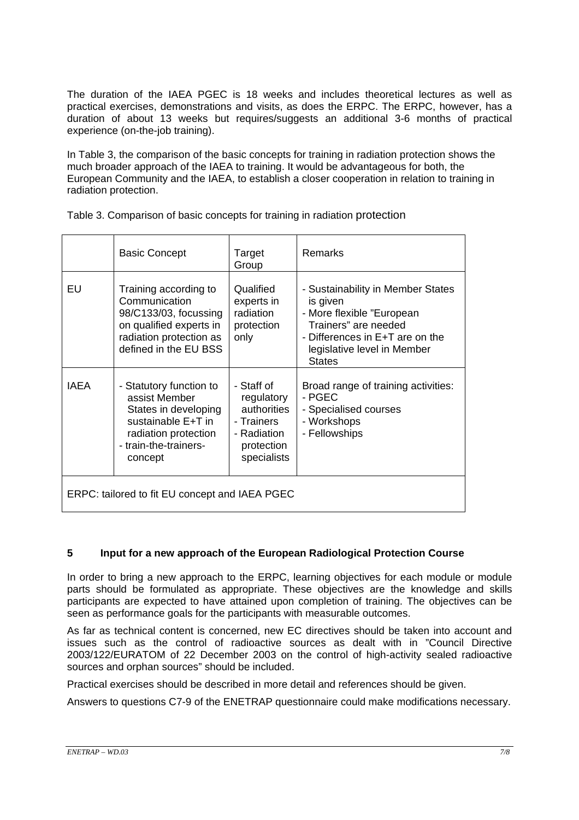The duration of the IAEA PGEC is 18 weeks and includes theoretical lectures as well as practical exercises, demonstrations and visits, as does the ERPC. The ERPC, however, has a duration of about 13 weeks but requires/suggests an additional 3-6 months of practical experience (on-the-job training).

In Table 3, the comparison of the basic concepts for training in radiation protection shows the much broader approach of the IAEA to training. It would be advantageous for both, the European Community and the IAEA, to establish a closer cooperation in relation to training in radiation protection.

|  | Table 3. Comparison of basic concepts for training in radiation protection |
|--|----------------------------------------------------------------------------|
|  |                                                                            |

|                                                | <b>Basic Concept</b>                                                                                                                               | Target<br>Group                                                                                   | Remarks                                                                                                                                                                               |
|------------------------------------------------|----------------------------------------------------------------------------------------------------------------------------------------------------|---------------------------------------------------------------------------------------------------|---------------------------------------------------------------------------------------------------------------------------------------------------------------------------------------|
| EU                                             | Training according to<br>Communication<br>98/C133/03, focussing<br>on qualified experts in<br>radiation protection as<br>defined in the EU BSS     | Qualified<br>experts in<br>radiation<br>protection<br>only                                        | - Sustainability in Member States<br>is given<br>- More flexible "European<br>Trainers" are needed<br>- Differences in E+T are on the<br>legislative level in Member<br><b>States</b> |
| <b>IAEA</b>                                    | - Statutory function to<br>assist Member<br>States in developing<br>sustainable E+T in<br>radiation protection<br>- train-the-trainers-<br>concept | - Staff of<br>regulatory<br>authorities<br>- Trainers<br>- Radiation<br>protection<br>specialists | Broad range of training activities:<br>- PGEC<br>- Specialised courses<br>- Workshops<br>- Fellowships                                                                                |
| ERPC: tailored to fit EU concept and IAEA PGEC |                                                                                                                                                    |                                                                                                   |                                                                                                                                                                                       |

## **5 Input for a new approach of the European Radiological Protection Course**

In order to bring a new approach to the ERPC, learning objectives for each module or module parts should be formulated as appropriate. These objectives are the knowledge and skills participants are expected to have attained upon completion of training. The objectives can be seen as performance goals for the participants with measurable outcomes.

As far as technical content is concerned, new EC directives should be taken into account and issues such as the control of radioactive sources as dealt with in "Council Directive 2003/122/EURATOM of 22 December 2003 on the control of high-activity sealed radioactive sources and orphan sources" should be included.

Practical exercises should be described in more detail and references should be given.

Answers to questions C7-9 of the ENETRAP questionnaire could make modifications necessary.